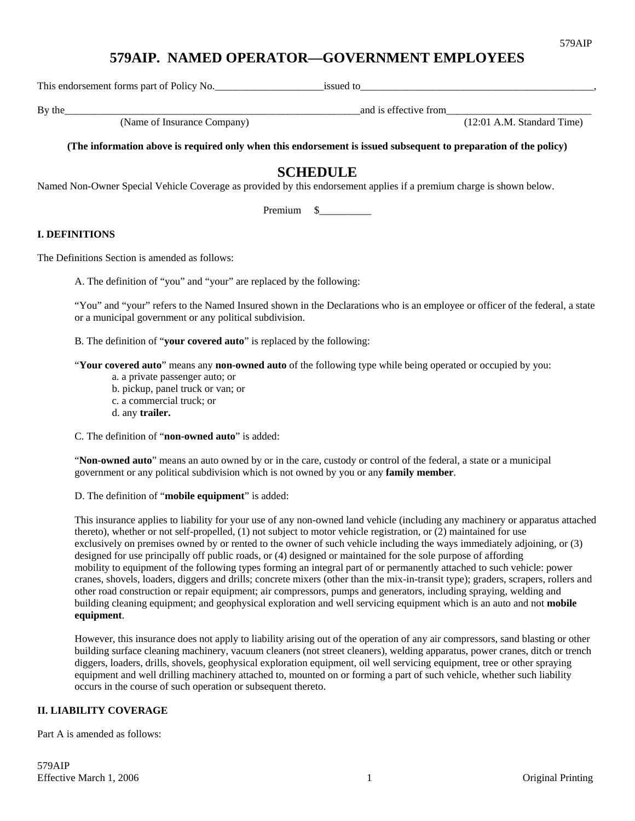# **579AIP. NAMED OPERATOR—GOVERNMENT EMPLOYEES**

This endorsement forms part of Policy No.\_\_\_\_\_\_\_\_\_\_\_\_\_\_\_\_\_\_\_\_\_issued to\_\_\_\_\_\_\_\_\_\_\_\_\_\_\_\_\_\_\_\_\_\_\_\_\_\_\_\_\_\_\_\_\_\_\_\_\_\_\_\_\_\_\_\_\_,

and is effective from  $(12:01 \text{ A.M. Standard Time})$ <br>(12:01 A.M. Standard Time)

**(The information above is required only when this endorsement is issued subsequent to preparation of the policy)** 

# **SCHEDULE**

Named Non-Owner Special Vehicle Coverage as provided by this endorsement applies if a premium charge is shown below.

Premium \$\_\_\_\_\_\_\_\_\_\_

## **I. DEFINITIONS**

The Definitions Section is amended as follows:

A. The definition of "you" and "your" are replaced by the following:

"You" and "your" refers to the Named Insured shown in the Declarations who is an employee or officer of the federal, a state or a municipal government or any political subdivision.

B. The definition of "**your covered auto**" is replaced by the following:

"**Your covered auto**" means any **non-owned auto** of the following type while being operated or occupied by you:

- a. a private passenger auto; or
- b. pickup, panel truck or van; or
- c. a commercial truck; or
- d. any **trailer.**

C. The definition of "**non-owned auto**" is added:

"**Non-owned auto**" means an auto owned by or in the care, custody or control of the federal, a state or a municipal government or any political subdivision which is not owned by you or any **family member**.

D. The definition of "**mobile equipment**" is added:

This insurance applies to liability for your use of any non-owned land vehicle (including any machinery or apparatus attached thereto), whether or not self-propelled, (1) not subject to motor vehicle registration, or (2) maintained for use exclusively on premises owned by or rented to the owner of such vehicle including the ways immediately adjoining, or (3) designed for use principally off public roads, or (4) designed or maintained for the sole purpose of affording mobility to equipment of the following types forming an integral part of or permanently attached to such vehicle: power cranes, shovels, loaders, diggers and drills; concrete mixers (other than the mix-in-transit type); graders, scrapers, rollers and other road construction or repair equipment; air compressors, pumps and generators, including spraying, welding and building cleaning equipment; and geophysical exploration and well servicing equipment which is an auto and not **mobile equipment**.

However, this insurance does not apply to liability arising out of the operation of any air compressors, sand blasting or other building surface cleaning machinery, vacuum cleaners (not street cleaners), welding apparatus, power cranes, ditch or trench diggers, loaders, drills, shovels, geophysical exploration equipment, oil well servicing equipment, tree or other spraying equipment and well drilling machinery attached to, mounted on or forming a part of such vehicle, whether such liability occurs in the course of such operation or subsequent thereto.

## **II. LIABILITY COVERAGE**

Part A is amended as follows:

By the\_\_\_\_\_\_\_\_\_\_\_\_\_\_\_\_\_\_\_\_\_\_\_\_\_\_\_\_\_\_\_\_\_\_\_\_\_\_\_\_\_\_\_\_\_\_\_\_\_\_\_\_\_\_\_\_\_and is effective from\_\_\_\_\_\_\_\_\_\_\_\_\_\_\_\_\_\_\_\_\_\_\_\_\_\_\_\_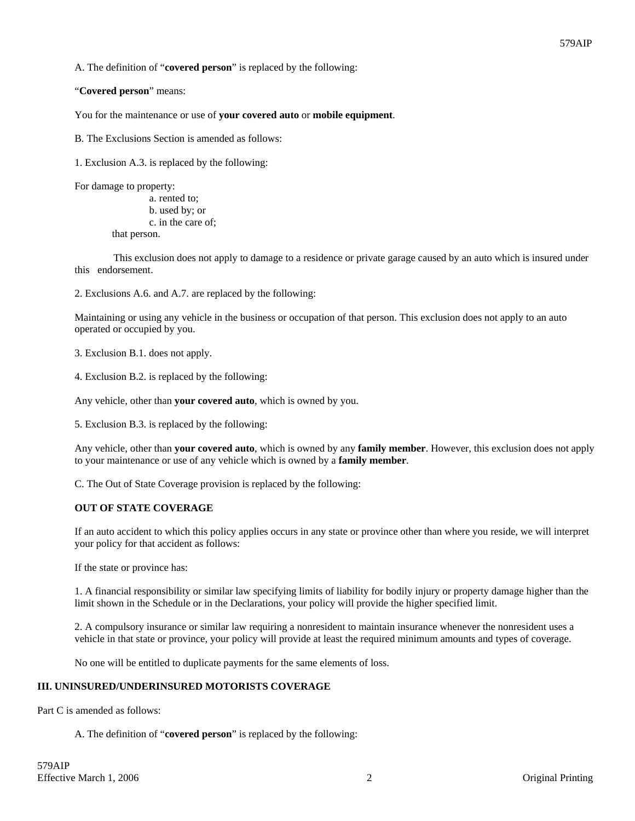A. The definition of "**covered person**" is replaced by the following:

"**Covered person**" means:

You for the maintenance or use of **your covered auto** or **mobile equipment**.

B. The Exclusions Section is amended as follows:

1. Exclusion A.3. is replaced by the following:

For damage to property:

 a. rented to; b. used by; or c. in the care of; that person.

 This exclusion does not apply to damage to a residence or private garage caused by an auto which is insured under this endorsement.

2. Exclusions A.6. and A.7. are replaced by the following:

Maintaining or using any vehicle in the business or occupation of that person. This exclusion does not apply to an auto operated or occupied by you.

3. Exclusion B.1. does not apply.

4. Exclusion B.2. is replaced by the following:

Any vehicle, other than **your covered auto**, which is owned by you.

5. Exclusion B.3. is replaced by the following:

Any vehicle, other than **your covered auto**, which is owned by any **family member**. However, this exclusion does not apply to your maintenance or use of any vehicle which is owned by a **family member**.

C. The Out of State Coverage provision is replaced by the following:

### **OUT OF STATE COVERAGE**

If an auto accident to which this policy applies occurs in any state or province other than where you reside, we will interpret your policy for that accident as follows:

If the state or province has:

1. A financial responsibility or similar law specifying limits of liability for bodily injury or property damage higher than the limit shown in the Schedule or in the Declarations, your policy will provide the higher specified limit.

2. A compulsory insurance or similar law requiring a nonresident to maintain insurance whenever the nonresident uses a vehicle in that state or province, your policy will provide at least the required minimum amounts and types of coverage.

No one will be entitled to duplicate payments for the same elements of loss.

### **III. UNINSURED/UNDERINSURED MOTORISTS COVERAGE**

Part C is amended as follows:

A. The definition of "**covered person**" is replaced by the following: